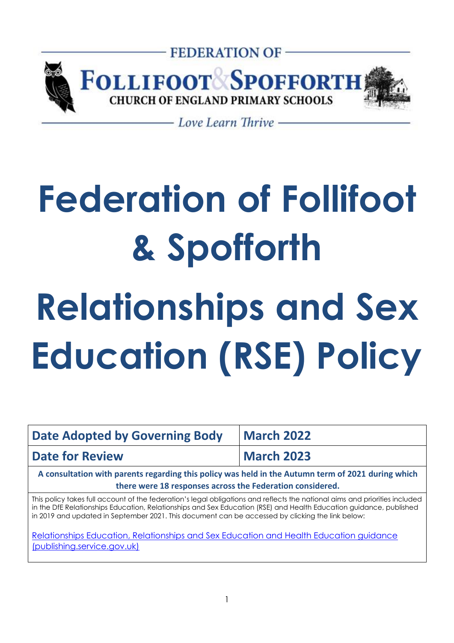

Love Learn Thrive -

# **Federation of Follifoot & Spofforth**

# **Relationships and Sex Education (RSE) Policy**

| Date Adopted by Governing Body                                                                     | <b>March 2022</b> |
|----------------------------------------------------------------------------------------------------|-------------------|
| <b>Date for Review</b>                                                                             | March 2023        |
| A consultation with parents regarding this policy was held in the Autumn term of 2021 during which |                   |

**there were 18 responses across the Federation considered.**

This policy takes full account of the federation's legal obligations and reflects the national aims and priorities included in the DfE Relationships Education, Relationships and Sex Education (RSE) and Health Education guidance, published in 2019 and updated in September 2021. This document can be accessed by clicking the link below:

[Relationships Education, Relationships and Sex Education and Health Education guidance](https://assets.publishing.service.gov.uk/government/uploads/system/uploads/attachment_data/file/1019542/Relationships_Education__Relationships_and_Sex_Education__RSE__and_Health_Education.pdf)  [\(publishing.service.gov.uk\)](https://assets.publishing.service.gov.uk/government/uploads/system/uploads/attachment_data/file/1019542/Relationships_Education__Relationships_and_Sex_Education__RSE__and_Health_Education.pdf)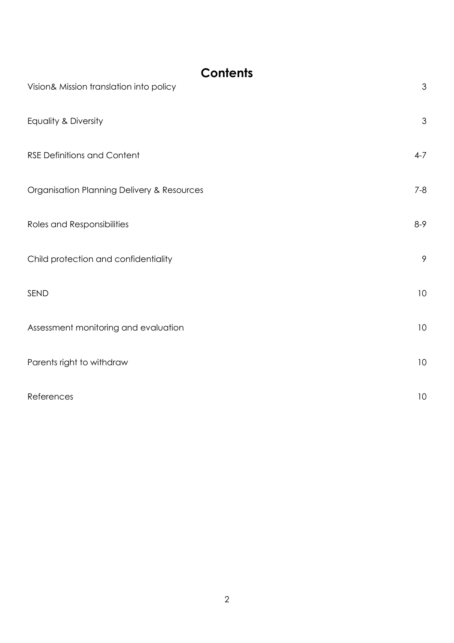| <b>Contents</b>                            |                 |
|--------------------------------------------|-----------------|
| Vision& Mission translation into policy    | $\mathfrak{Z}$  |
| Equality & Diversity                       | $\mathfrak{Z}$  |
| <b>RSE Definitions and Content</b>         | $4 - 7$         |
| Organisation Planning Delivery & Resources | $7 - 8$         |
| Roles and Responsibilities                 | $8-9$           |
| Child protection and confidentiality       | 9               |
| SEND                                       | 10              |
| Assessment monitoring and evaluation       | 10 <sup>°</sup> |
| Parents right to withdraw                  | $10\,$          |
| References                                 | 10              |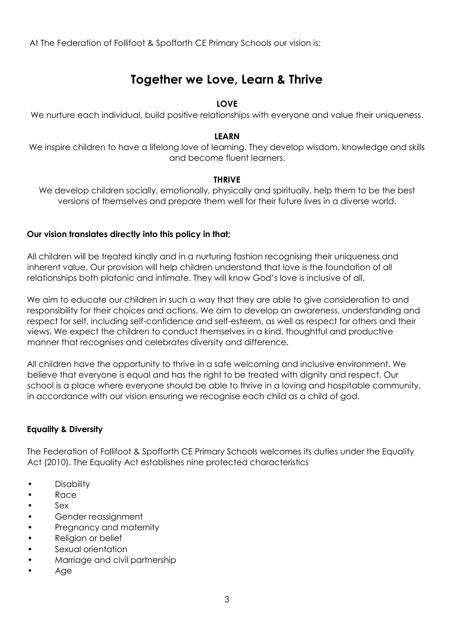At The Federation of Follifoot & Spofforth CE Primary Schools our vision is:

## **Together we Love, Learn & Thrive**

## **LOVE**

We nurture each individual, build positive relationships with everyone and value their uniqueness.

## **LEARN**

We inspire children to have a lifelong love of learning. They develop wisdom, knowledge and skills and become fluent learners.

## **THRIVE**

We develop children socially, emotionally, physically and spiritually, help them to be the best versions of themselves and prepare them well for their future lives in a diverse world.

## **Our vision translates directly into this policy in that;**

All children will be treated kindly and in a nurturing fashion recognising their uniqueness and inherent value. Our provision will help children understand that love is the foundation of all relationships both platonic and intimate. They will know God's love is inclusive of all.

We aim to educate our children in such a way that they are able to give consideration to and responsibility for their choices and actions. We aim to develop an awareness, understanding and respect for self, including self-confidence and self-esteem, as well as respect for others and their views. We expect the children to conduct themselves in a kind, thoughtful and productive manner that recognises and celebrates diversity and difference.

All children have the opportunity to thrive in a safe welcoming and inclusive environment. We believe that everyone is equal and has the right to be treated with dignity and respect. Our school is a place where everyone should be able to thrive in a loving and hospitable community, in accordance with our vision ensuring we recognise each child as a child of god.

## **Equality & Diversity**

The Federation of Follifoot & Spofforth CE Primary Schools welcomes its duties under the Equality Act (2010). The Equality Act establishes nine protected characteristics

- Disability
- Race
- Sex
- Gender reassignment
- Pregnancy and maternity
- Religion or belief
- Sexual orientation
- Marriage and civil partnership
- Age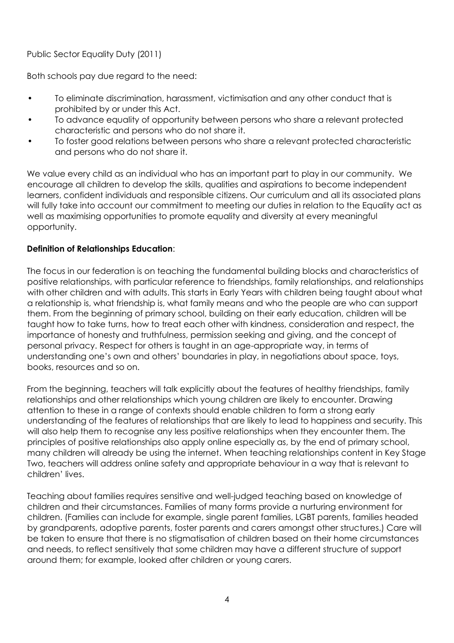Public Sector Equality Duty (2011)

Both schools pay due regard to the need:

- To eliminate discrimination, harassment, victimisation and any other conduct that is prohibited by or under this Act.
- To advance equality of opportunity between persons who share a relevant protected characteristic and persons who do not share it.
- To foster good relations between persons who share a relevant protected characteristic and persons who do not share it.

We value every child as an individual who has an important part to play in our community. We encourage all children to develop the skills, qualities and aspirations to become independent learners, confident individuals and responsible citizens. Our curriculum and all its associated plans will fully take into account our commitment to meeting our duties in relation to the Equality act as well as maximising opportunities to promote equality and diversity at every meaningful opportunity.

## **Definition of Relationships Education**:

The focus in our federation is on teaching the fundamental building blocks and characteristics of positive relationships, with particular reference to friendships, family relationships, and relationships with other children and with adults. This starts in Early Years with children being taught about what a relationship is, what friendship is, what family means and who the people are who can support them. From the beginning of primary school, building on their early education, children will be taught how to take turns, how to treat each other with kindness, consideration and respect, the importance of honesty and truthfulness, permission seeking and giving, and the concept of personal privacy. Respect for others is taught in an age-appropriate way, in terms of understanding one's own and others' boundaries in play, in negotiations about space, toys, books, resources and so on.

From the beginning, teachers will talk explicitly about the features of healthy friendships, family relationships and other relationships which young children are likely to encounter. Drawing attention to these in a range of contexts should enable children to form a strong early understanding of the features of relationships that are likely to lead to happiness and security. This will also help them to recognise any less positive relationships when they encounter them. The principles of positive relationships also apply online especially as, by the end of primary school, many children will already be using the internet. When teaching relationships content in Key Stage Two, teachers will address online safety and appropriate behaviour in a way that is relevant to children' lives.

Teaching about families requires sensitive and well-judged teaching based on knowledge of children and their circumstances. Families of many forms provide a nurturing environment for children. (Families can include for example, single parent families, LGBT parents, families headed by grandparents, adoptive parents, foster parents and carers amongst other structures.) Care will be taken to ensure that there is no stigmatisation of children based on their home circumstances and needs, to reflect sensitively that some children may have a different structure of support around them; for example, looked after children or young carers.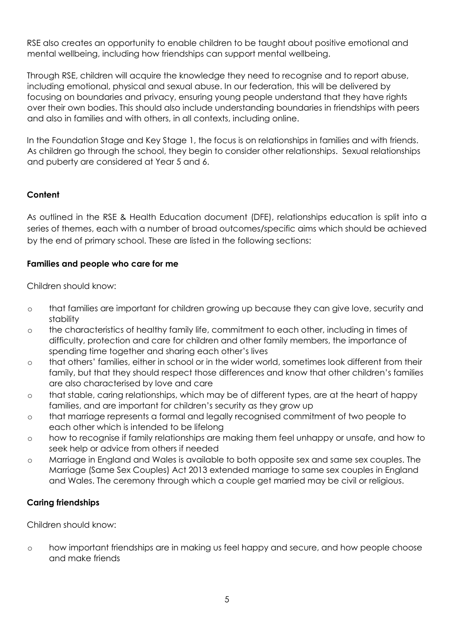RSE also creates an opportunity to enable children to be taught about positive emotional and mental wellbeing, including how friendships can support mental wellbeing.

Through RSE, children will acquire the knowledge they need to recognise and to report abuse, including emotional, physical and sexual abuse. In our federation, this will be delivered by focusing on boundaries and privacy, ensuring young people understand that they have rights over their own bodies. This should also include understanding boundaries in friendships with peers and also in families and with others, in all contexts, including online.

In the Foundation Stage and Key Stage 1, the focus is on relationships in families and with friends. As children go through the school, they begin to consider other relationships. Sexual relationships and puberty are considered at Year 5 and 6.

## **Content**

As outlined in the RSE & Health Education document (DFE), relationships education is split into a series of themes, each with a number of broad outcomes/specific aims which should be achieved by the end of primary school. These are listed in the following sections:

## **Families and people who care for me**

Children should know:

- o that families are important for children growing up because they can give love, security and stability
- o the characteristics of healthy family life, commitment to each other, including in times of difficulty, protection and care for children and other family members, the importance of spending time together and sharing each other's lives
- o that others' families, either in school or in the wider world, sometimes look different from their family, but that they should respect those differences and know that other children's families are also characterised by love and care
- o that stable, caring relationships, which may be of different types, are at the heart of happy families, and are important for children's security as they grow up
- o that marriage represents a formal and legally recognised commitment of two people to each other which is intended to be lifelong
- o how to recognise if family relationships are making them feel unhappy or unsafe, and how to seek help or advice from others if needed
- o Marriage in England and Wales is available to both opposite sex and same sex couples. The Marriage (Same Sex Couples) Act 2013 extended marriage to same sex couples in England and Wales. The ceremony through which a couple get married may be civil or religious.

## **Caring friendships**

Children should know:

o how important friendships are in making us feel happy and secure, and how people choose and make friends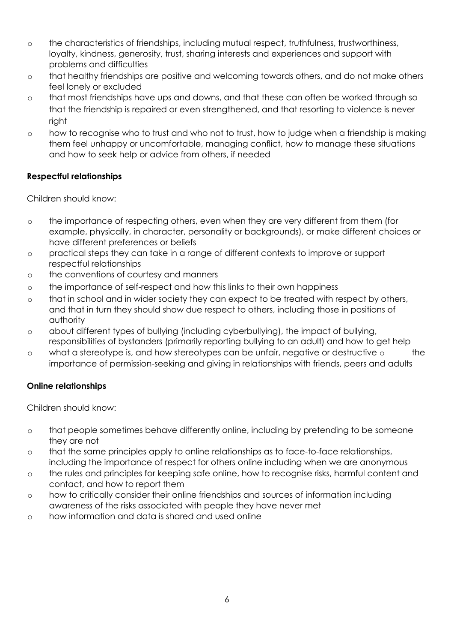- o the characteristics of friendships, including mutual respect, truthfulness, trustworthiness, loyalty, kindness, generosity, trust, sharing interests and experiences and support with problems and difficulties
- o that healthy friendships are positive and welcoming towards others, and do not make others feel lonely or excluded
- o that most friendships have ups and downs, and that these can often be worked through so that the friendship is repaired or even strengthened, and that resorting to violence is never right
- o how to recognise who to trust and who not to trust, how to judge when a friendship is making them feel unhappy or uncomfortable, managing conflict, how to manage these situations and how to seek help or advice from others, if needed

## **Respectful relationships**

Children should know:

- o the importance of respecting others, even when they are very different from them (for example, physically, in character, personality or backgrounds), or make different choices or have different preferences or beliefs
- o practical steps they can take in a range of different contexts to improve or support respectful relationships
- o the conventions of courtesy and manners
- o the importance of self-respect and how this links to their own happiness
- o that in school and in wider society they can expect to be treated with respect by others, and that in turn they should show due respect to others, including those in positions of authority
- o about different types of bullying (including cyberbullying), the impact of bullying, responsibilities of bystanders (primarily reporting bullying to an adult) and how to get help
- o what a stereotype is, and how stereotypes can be unfair, negative or destructive o the importance of permission-seeking and giving in relationships with friends, peers and adults

## **Online relationships**

Children should know:

- o that people sometimes behave differently online, including by pretending to be someone they are not
- o that the same principles apply to online relationships as to face-to-face relationships, including the importance of respect for others online including when we are anonymous
- o the rules and principles for keeping safe online, how to recognise risks, harmful content and contact, and how to report them
- o how to critically consider their online friendships and sources of information including awareness of the risks associated with people they have never met
- o how information and data is shared and used online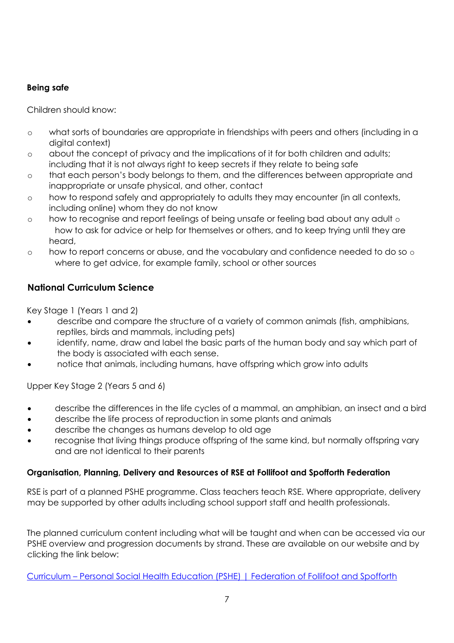## **Being safe**

Children should know:

- o what sorts of boundaries are appropriate in friendships with peers and others (including in a digital context)
- o about the concept of privacy and the implications of it for both children and adults; including that it is not always right to keep secrets if they relate to being safe
- o that each person's body belongs to them, and the differences between appropriate and inappropriate or unsafe physical, and other, contact
- o how to respond safely and appropriately to adults they may encounter (in all contexts, including online) whom they do not know
- o how to recognise and report feelings of being unsafe or feeling bad about any adult o how to ask for advice or help for themselves or others, and to keep trying until they are heard,
- o how to report concerns or abuse, and the vocabulary and confidence needed to do so o where to get advice, for example family, school or other sources

## **National Curriculum Science**

Key Stage 1 (Years 1 and 2)

- describe and compare the structure of a variety of common animals (fish, amphibians, reptiles, birds and mammals, including pets)
- identify, name, draw and label the basic parts of the human body and say which part of the body is associated with each sense.
- notice that animals, including humans, have offspring which grow into adults

Upper Key Stage 2 (Years 5 and 6)

- describe the differences in the life cycles of a mammal, an amphibian, an insect and a bird
- describe the life process of reproduction in some plants and animals
- describe the changes as humans develop to old age
- recognise that living things produce offspring of the same kind, but normally offspring vary and are not identical to their parents

## **Organisation, Planning, Delivery and Resources of RSE at Follifoot and Spofforth Federation**

RSE is part of a planned PSHE programme. Class teachers teach RSE. Where appropriate, delivery may be supported by other adults including school support staff and health professionals.

The planned curriculum content including what will be taught and when can be accessed via our PSHE overview and progression documents by strand. These are available on our website and by clicking the link below:

Curriculum – [Personal Social Health Education \(PSHE\) | Federation of Follifoot and Spofforth](http://follifootandspofforth.co.uk/curriculum-pshce/)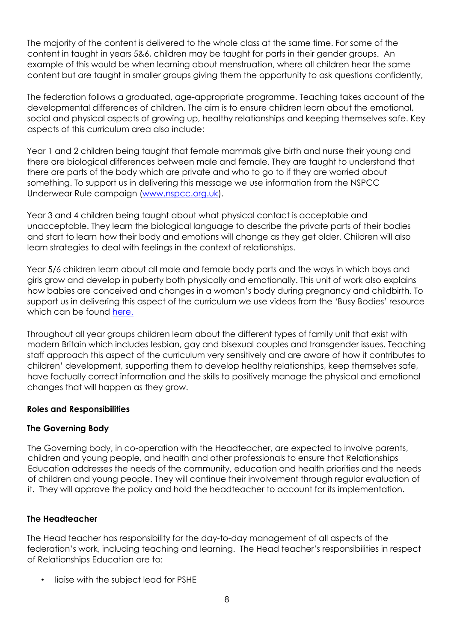The majority of the content is delivered to the whole class at the same time. For some of the content in taught in years 5&6, children may be taught for parts in their gender groups. An example of this would be when learning about menstruation, where all children hear the same content but are taught in smaller groups giving them the opportunity to ask questions confidently,

The federation follows a graduated, age-appropriate programme. Teaching takes account of the developmental differences of children. The aim is to ensure children learn about the emotional, social and physical aspects of growing up, healthy relationships and keeping themselves safe. Key aspects of this curriculum area also include:

Year 1 and 2 children being taught that female mammals give birth and nurse their young and there are biological differences between male and female. They are taught to understand that there are parts of the body which are private and who to go to if they are worried about something. To support us in delivering this message we use information from the NSPCC Underwear Rule campaign [\(www.nspcc.org.uk\).](http://www.nspcc.org.uk/)

Year 3 and 4 children being taught about what physical contact is acceptable and unacceptable. They learn the biological language to describe the private parts of their bodies and start to learn how their body and emotions will change as they get older. Children will also learn strategies to deal with feelings in the context of relationships.

Year 5/6 children learn about all male and female body parts and the ways in which boys and girls grow and develop in puberty both physically and emotionally. This unit of work also explains how babies are conceived and changes in a woman's body during pregnancy and childbirth. To support us in delivering this aspect of the curriculum we use videos from the 'Busy Bodies' resource which can be found [here.](https://vimeo.com/user/96707063/folder/729017)

Throughout all year groups children learn about the different types of family unit that exist with modern Britain which includes lesbian, gay and bisexual couples and transgender issues. Teaching staff approach this aspect of the curriculum very sensitively and are aware of how it contributes to children' development, supporting them to develop healthy relationships, keep themselves safe, have factually correct information and the skills to positively manage the physical and emotional changes that will happen as they grow.

## **Roles and Responsibilities**

## **The Governing Body**

The Governing body, in co-operation with the Headteacher, are expected to involve parents, children and young people, and health and other professionals to ensure that Relationships Education addresses the needs of the community, education and health priorities and the needs of children and young people. They will continue their involvement through regular evaluation of it. They will approve the policy and hold the headteacher to account for its implementation.

## **The Headteacher**

The Head teacher has responsibility for the day-to-day management of all aspects of the federation's work, including teaching and learning. The Head teacher's responsibilities in respect of Relationships Education are to:

liaise with the subject lead for PSHE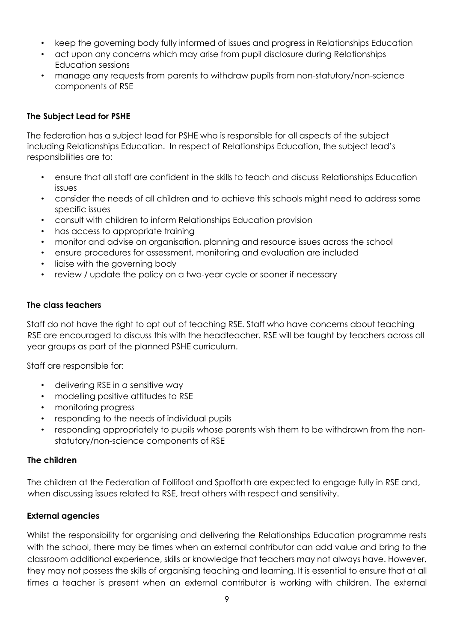- keep the governing body fully informed of issues and progress in Relationships Education
- act upon any concerns which may arise from pupil disclosure during Relationships Education sessions
- manage any requests from parents to withdraw pupils from non-statutory/non-science components of RSE

## **The Subject Lead for PSHE**

The federation has a subject lead for PSHE who is responsible for all aspects of the subject including Relationships Education. In respect of Relationships Education, the subject lead's responsibilities are to:

- ensure that all staff are confident in the skills to teach and discuss Relationships Education issues
- consider the needs of all children and to achieve this schools might need to address some specific issues
- consult with children to inform Relationships Education provision
- has access to appropriate training
- monitor and advise on organisation, planning and resource issues across the school
- ensure procedures for assessment, monitoring and evaluation are included
- liaise with the governing body
- review / update the policy on a two-year cycle or sooner if necessary

## **The class teachers**

Staff do not have the right to opt out of teaching RSE. Staff who have concerns about teaching RSE are encouraged to discuss this with the headteacher. RSE will be taught by teachers across all year groups as part of the planned PSHE curriculum.

Staff are responsible for:

- delivering RSE in a sensitive way
- modelling positive attitudes to RSE
- monitoring progress
- responding to the needs of individual pupils
- responding appropriately to pupils whose parents wish them to be withdrawn from the nonstatutory/non-science components of RSE

## **The children**

The children at the Federation of Follifoot and Spofforth are expected to engage fully in RSE and, when discussing issues related to RSE, treat others with respect and sensitivity.

## **External agencies**

Whilst the responsibility for organising and delivering the Relationships Education programme rests with the school, there may be times when an external contributor can add value and bring to the classroom additional experience, skills or knowledge that teachers may not always have. However, they may not possess the skills of organising teaching and learning. It is essential to ensure that at all times a teacher is present when an external contributor is working with children. The external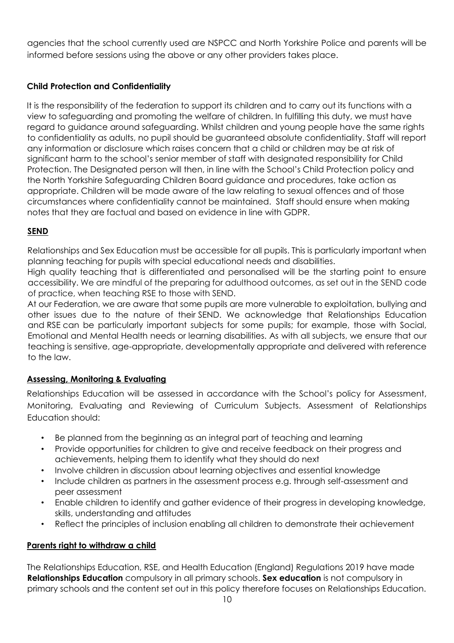agencies that the school currently used are NSPCC and North Yorkshire Police and parents will be informed before sessions using the above or any other providers takes place.

## **Child Protection and Confidentiality**

It is the responsibility of the federation to support its children and to carry out its functions with a view to safeguarding and promoting the welfare of children. In fulfilling this duty, we must have regard to guidance around safeguarding. Whilst children and young people have the same rights to confidentiality as adults, no pupil should be guaranteed absolute confidentiality. Staff will report any information or disclosure which raises concern that a child or children may be at risk of significant harm to the school's senior member of staff with designated responsibility for Child Protection. The Designated person will then, in line with the School's Child Protection policy and the North Yorkshire Safeguarding Children Board guidance and procedures, take action as appropriate. Children will be made aware of the law relating to sexual offences and of those circumstances where confidentiality cannot be maintained. Staff should ensure when making notes that they are factual and based on evidence in line with GDPR.

## **SEND**

Relationships and Sex Education must be accessible for all pupils. This is particularly important when planning teaching for pupils with special educational needs and disabilities.

High quality teaching that is differentiated and personalised will be the starting point to ensure accessibility. We are mindful of the preparing for adulthood outcomes, as set out in the SEND code of practice, when teaching RSE to those with SEND.

At our Federation, we are aware that some pupils are more vulnerable to exploitation, bullying and other issues due to the nature of their SEND. We acknowledge that Relationships Education and RSE can be particularly important subjects for some pupils; for example, those with Social, Emotional and Mental Health needs or learning disabilities. As with all subjects, we ensure that our teaching is sensitive, age-appropriate, developmentally appropriate and delivered with reference to the law.

## **Assessing, Monitoring & Evaluating**

Relationships Education will be assessed in accordance with the School's policy for Assessment, Monitoring, Evaluating and Reviewing of Curriculum Subjects. Assessment of Relationships Education should:

- Be planned from the beginning as an integral part of teaching and learning
- Provide opportunities for children to give and receive feedback on their progress and achievements, helping them to identify what they should do next
- Involve children in discussion about learning objectives and essential knowledge
- Include children as partners in the assessment process e.g. through self-assessment and peer assessment
- Enable children to identify and gather evidence of their progress in developing knowledge, skills, understanding and attitudes
- Reflect the principles of inclusion enabling all children to demonstrate their achievement

## **Parents right to withdraw a child**

The Relationships Education, RSE, and Health Education (England) Regulations 2019 have made **Relationships Education** compulsory in all primary schools. **Sex education** is not compulsory in primary schools and the content set out in this policy therefore focuses on Relationships Education.